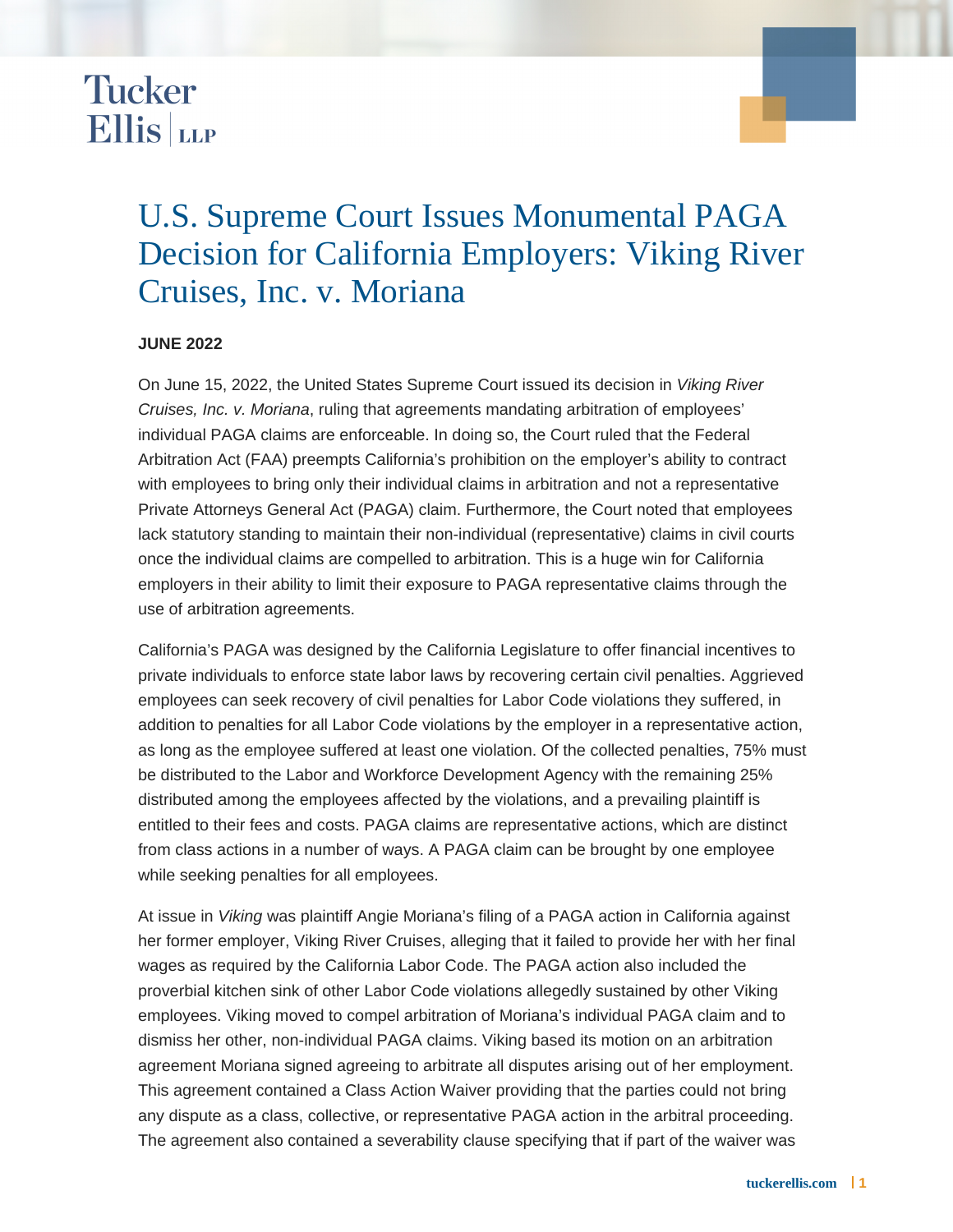## **Tucker**  $Ellis|_{LLP}$

## U.S. Supreme Court Issues Monumental PAGA Decision for California Employers: Viking River Cruises, Inc. v. Moriana

## **JUNE 2022**

On June 15, 2022, the United States Supreme Court issued its decision in Viking River Cruises, Inc. v. Moriana, ruling that agreements mandating arbitration of employees' individual PAGA claims are enforceable. In doing so, the Court ruled that the Federal Arbitration Act (FAA) preempts California's prohibition on the employer's ability to contract with employees to bring only their individual claims in arbitration and not a representative Private Attorneys General Act (PAGA) claim. Furthermore, the Court noted that employees lack statutory standing to maintain their non-individual (representative) claims in civil courts once the individual claims are compelled to arbitration. This is a huge win for California employers in their ability to limit their exposure to PAGA representative claims through the use of arbitration agreements.

California's PAGA was designed by the California Legislature to offer financial incentives to private individuals to enforce state labor laws by recovering certain civil penalties. Aggrieved employees can seek recovery of civil penalties for Labor Code violations they suffered, in addition to penalties for all Labor Code violations by the employer in a representative action, as long as the employee suffered at least one violation. Of the collected penalties, 75% must be distributed to the Labor and Workforce Development Agency with the remaining 25% distributed among the employees affected by the violations, and a prevailing plaintiff is entitled to their fees and costs. PAGA claims are representative actions, which are distinct from class actions in a number of ways. A PAGA claim can be brought by one employee while seeking penalties for all employees.

At issue in Viking was plaintiff Angie Moriana's filing of a PAGA action in California against her former employer, Viking River Cruises, alleging that it failed to provide her with her final wages as required by the California Labor Code. The PAGA action also included the proverbial kitchen sink of other Labor Code violations allegedly sustained by other Viking employees. Viking moved to compel arbitration of Moriana's individual PAGA claim and to dismiss her other, non-individual PAGA claims. Viking based its motion on an arbitration agreement Moriana signed agreeing to arbitrate all disputes arising out of her employment. This agreement contained a Class Action Waiver providing that the parties could not bring any dispute as a class, collective, or representative PAGA action in the arbitral proceeding. The agreement also contained a severability clause specifying that if part of the waiver was